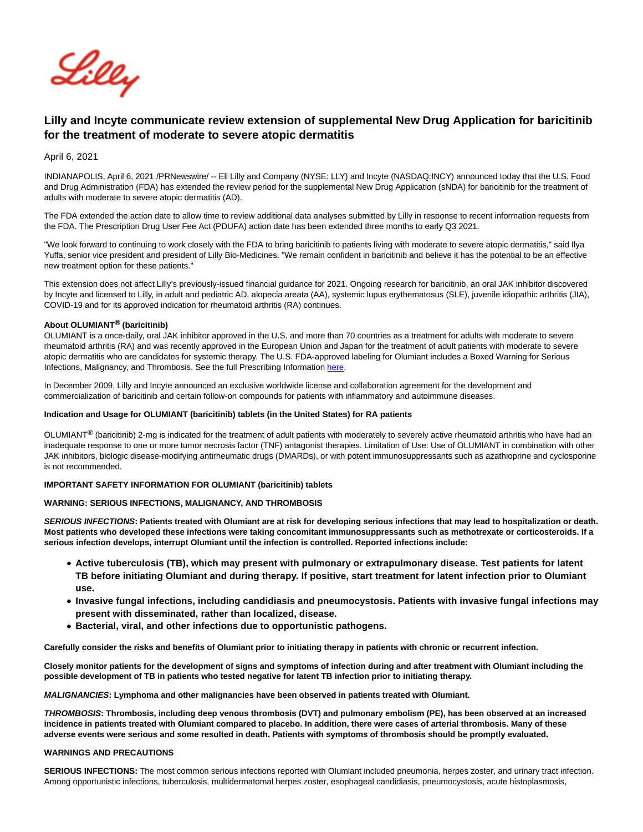

# **Lilly and Incyte communicate review extension of supplemental New Drug Application for baricitinib for the treatment of moderate to severe atopic dermatitis**

April 6, 2021

INDIANAPOLIS, April 6, 2021 /PRNewswire/ -- Eli Lilly and Company (NYSE: LLY) and Incyte (NASDAQ:INCY) announced today that the U.S. Food and Drug Administration (FDA) has extended the review period for the supplemental New Drug Application (sNDA) for baricitinib for the treatment of adults with moderate to severe atopic dermatitis (AD).

The FDA extended the action date to allow time to review additional data analyses submitted by Lilly in response to recent information requests from the FDA. The Prescription Drug User Fee Act (PDUFA) action date has been extended three months to early Q3 2021.

"We look forward to continuing to work closely with the FDA to bring baricitinib to patients living with moderate to severe atopic dermatitis," said Ilya Yuffa, senior vice president and president of Lilly Bio-Medicines. "We remain confident in baricitinib and believe it has the potential to be an effective new treatment option for these patients."

This extension does not affect Lilly's previously-issued financial guidance for 2021. Ongoing research for baricitinib, an oral JAK inhibitor discovered by Incyte and licensed to Lilly, in adult and pediatric AD, alopecia areata (AA), systemic lupus erythematosus (SLE), juvenile idiopathic arthritis (JIA), COVID-19 and for its approved indication for rheumatoid arthritis (RA) continues.

# **About OLUMIANT® (baricitinib)**

OLUMIANT is a once-daily, oral JAK inhibitor approved in the U.S. and more than 70 countries as a treatment for adults with moderate to severe rheumatoid arthritis (RA) and was recently approved in the European Union and Japan for the treatment of adult patients with moderate to severe atopic dermatitis who are candidates for systemic therapy. The U.S. FDA-approved labeling for Olumiant includes a Boxed Warning for Serious Infections, Malignancy, and Thrombosis. See the full Prescribing Information [here.](https://c212.net/c/link/?t=0&l=en&o=3120279-1&h=1552933469&u=http%3A%2F%2Fuspl.lilly.com%2Folumiant%2Folumiant.html%3Fs%3Dpi&a=here)

In December 2009, Lilly and Incyte announced an exclusive worldwide license and collaboration agreement for the development and commercialization of baricitinib and certain follow-on compounds for patients with inflammatory and autoimmune diseases.

# **Indication and Usage for OLUMIANT (baricitinib) tablets (in the United States) for RA patients**

OLUMIANT<sup>®</sup> (baricitinib) 2-mg is indicated for the treatment of adult patients with moderately to severely active rheumatoid arthritis who have had an inadequate response to one or more tumor necrosis factor (TNF) antagonist therapies. Limitation of Use: Use of OLUMIANT in combination with other JAK inhibitors, biologic disease-modifying antirheumatic drugs (DMARDs), or with potent immunosuppressants such as azathioprine and cyclosporine is not recommended.

# **IMPORTANT SAFETY INFORMATION FOR OLUMIANT (baricitinib) tablets**

# **WARNING: SERIOUS INFECTIONS, MALIGNANCY, AND THROMBOSIS**

**SERIOUS INFECTIONS: Patients treated with Olumiant are at risk for developing serious infections that may lead to hospitalization or death. Most patients who developed these infections were taking concomitant immunosuppressants such as methotrexate or corticosteroids. If a serious infection develops, interrupt Olumiant until the infection is controlled. Reported infections include:**

- **Active tuberculosis (TB), which may present with pulmonary or extrapulmonary disease. Test patients for latent TB before initiating Olumiant and during therapy. If positive, start treatment for latent infection prior to Olumiant use.**
- **Invasive fungal infections, including candidiasis and pneumocystosis. Patients with invasive fungal infections may present with disseminated, rather than localized, disease.**
- **Bacterial, viral, and other infections due to opportunistic pathogens.**

**Carefully consider the risks and benefits of Olumiant prior to initiating therapy in patients with chronic or recurrent infection.**

**Closely monitor patients for the development of signs and symptoms of infection during and after treatment with Olumiant including the possible development of TB in patients who tested negative for latent TB infection prior to initiating therapy.**

**MALIGNANCIES: Lymphoma and other malignancies have been observed in patients treated with Olumiant.**

**THROMBOSIS: Thrombosis, including deep venous thrombosis (DVT) and pulmonary embolism (PE), has been observed at an increased incidence in patients treated with Olumiant compared to placebo. In addition, there were cases of arterial thrombosis. Many of these adverse events were serious and some resulted in death. Patients with symptoms of thrombosis should be promptly evaluated.**

#### **WARNINGS AND PRECAUTIONS**

SERIOUS INFECTIONS: The most common serious infections reported with Olumiant included pneumonia, herpes zoster, and urinary tract infection. Among opportunistic infections, tuberculosis, multidermatomal herpes zoster, esophageal candidiasis, pneumocystosis, acute histoplasmosis,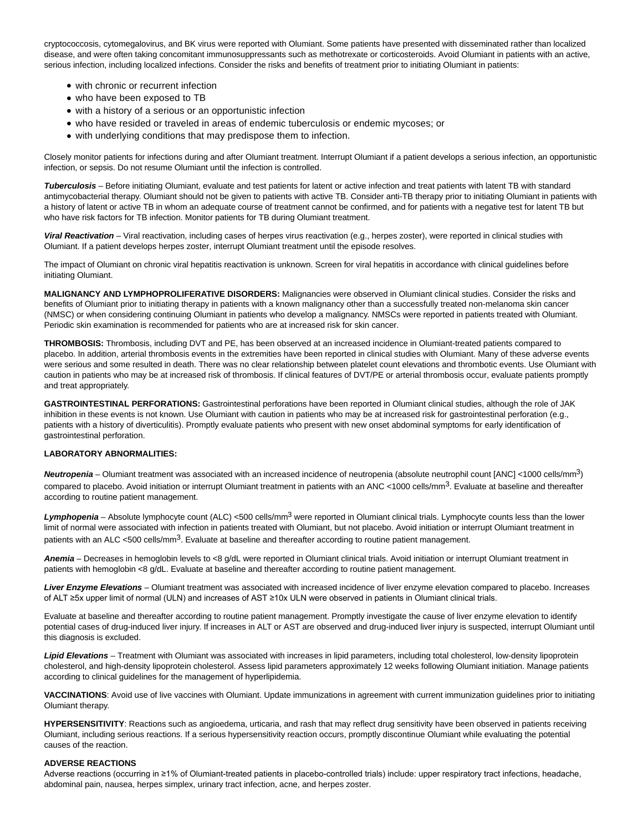cryptococcosis, cytomegalovirus, and BK virus were reported with Olumiant. Some patients have presented with disseminated rather than localized disease, and were often taking concomitant immunosuppressants such as methotrexate or corticosteroids. Avoid Olumiant in patients with an active, serious infection, including localized infections. Consider the risks and benefits of treatment prior to initiating Olumiant in patients:

- with chronic or recurrent infection
- who have been exposed to TB
- with a history of a serious or an opportunistic infection
- who have resided or traveled in areas of endemic tuberculosis or endemic mycoses; or
- with underlying conditions that may predispose them to infection.

Closely monitor patients for infections during and after Olumiant treatment. Interrupt Olumiant if a patient develops a serious infection, an opportunistic infection, or sepsis. Do not resume Olumiant until the infection is controlled.

**Tuberculosis** – Before initiating Olumiant, evaluate and test patients for latent or active infection and treat patients with latent TB with standard antimycobacterial therapy. Olumiant should not be given to patients with active TB. Consider anti-TB therapy prior to initiating Olumiant in patients with a history of latent or active TB in whom an adequate course of treatment cannot be confirmed, and for patients with a negative test for latent TB but who have risk factors for TB infection. Monitor patients for TB during Olumiant treatment.

**Viral Reactivation** – Viral reactivation, including cases of herpes virus reactivation (e.g., herpes zoster), were reported in clinical studies with Olumiant. If a patient develops herpes zoster, interrupt Olumiant treatment until the episode resolves.

The impact of Olumiant on chronic viral hepatitis reactivation is unknown. Screen for viral hepatitis in accordance with clinical guidelines before initiating Olumiant.

**MALIGNANCY AND LYMPHOPROLIFERATIVE DISORDERS:** Malignancies were observed in Olumiant clinical studies. Consider the risks and benefits of Olumiant prior to initiating therapy in patients with a known malignancy other than a successfully treated non-melanoma skin cancer (NMSC) or when considering continuing Olumiant in patients who develop a malignancy. NMSCs were reported in patients treated with Olumiant. Periodic skin examination is recommended for patients who are at increased risk for skin cancer.

**THROMBOSIS:** Thrombosis, including DVT and PE, has been observed at an increased incidence in Olumiant-treated patients compared to placebo. In addition, arterial thrombosis events in the extremities have been reported in clinical studies with Olumiant. Many of these adverse events were serious and some resulted in death. There was no clear relationship between platelet count elevations and thrombotic events. Use Olumiant with caution in patients who may be at increased risk of thrombosis. If clinical features of DVT/PE or arterial thrombosis occur, evaluate patients promptly and treat appropriately.

**GASTROINTESTINAL PERFORATIONS:** Gastrointestinal perforations have been reported in Olumiant clinical studies, although the role of JAK inhibition in these events is not known. Use Olumiant with caution in patients who may be at increased risk for gastrointestinal perforation (e.g., patients with a history of diverticulitis). Promptly evaluate patients who present with new onset abdominal symptoms for early identification of gastrointestinal perforation.

# **LABORATORY ABNORMALITIES:**

**Neutropenia** – Olumiant treatment was associated with an increased incidence of neutropenia (absolute neutrophil count [ANC] <1000 cells/mm3) compared to placebo. Avoid initiation or interrupt Olumiant treatment in patients with an ANC <1000 cells/mm<sup>3</sup>. Evaluate at baseline and thereafter according to routine patient management.

**Lymphopenia** – Absolute lymphocyte count (ALC) <500 cells/mm3 were reported in Olumiant clinical trials. Lymphocyte counts less than the lower limit of normal were associated with infection in patients treated with Olumiant, but not placebo. Avoid initiation or interrupt Olumiant treatment in patients with an ALC <500 cells/mm<sup>3</sup>. Evaluate at baseline and thereafter according to routine patient management.

**Anemia** – Decreases in hemoglobin levels to <8 g/dL were reported in Olumiant clinical trials. Avoid initiation or interrupt Olumiant treatment in patients with hemoglobin <8 g/dL. Evaluate at baseline and thereafter according to routine patient management.

**Liver Enzyme Elevations** – Olumiant treatment was associated with increased incidence of liver enzyme elevation compared to placebo. Increases of ALT ≥5x upper limit of normal (ULN) and increases of AST ≥10x ULN were observed in patients in Olumiant clinical trials.

Evaluate at baseline and thereafter according to routine patient management. Promptly investigate the cause of liver enzyme elevation to identify potential cases of drug-induced liver injury. If increases in ALT or AST are observed and drug-induced liver injury is suspected, interrupt Olumiant until this diagnosis is excluded.

**Lipid Elevations** – Treatment with Olumiant was associated with increases in lipid parameters, including total cholesterol, low-density lipoprotein cholesterol, and high-density lipoprotein cholesterol. Assess lipid parameters approximately 12 weeks following Olumiant initiation. Manage patients according to clinical guidelines for the management of hyperlipidemia.

**VACCINATIONS**: Avoid use of live vaccines with Olumiant. Update immunizations in agreement with current immunization guidelines prior to initiating Olumiant therapy.

**HYPERSENSITIVITY**: Reactions such as angioedema, urticaria, and rash that may reflect drug sensitivity have been observed in patients receiving Olumiant, including serious reactions. If a serious hypersensitivity reaction occurs, promptly discontinue Olumiant while evaluating the potential causes of the reaction.

#### **ADVERSE REACTIONS**

Adverse reactions (occurring in ≥1% of Olumiant-treated patients in placebo-controlled trials) include: upper respiratory tract infections, headache, abdominal pain, nausea, herpes simplex, urinary tract infection, acne, and herpes zoster.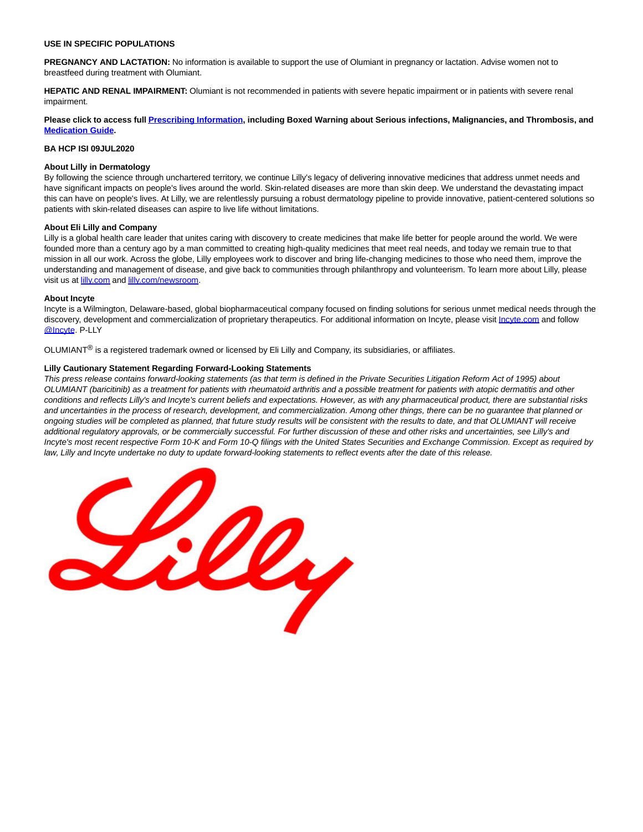#### **USE IN SPECIFIC POPULATIONS**

**PREGNANCY AND LACTATION:** No information is available to support the use of Olumiant in pregnancy or lactation. Advise women not to breastfeed during treatment with Olumiant.

**HEPATIC AND RENAL IMPAIRMENT:** Olumiant is not recommended in patients with severe hepatic impairment or in patients with severe renal impairment.

**Please click to access ful[l Prescribing Information,](https://c212.net/c/link/?t=0&l=en&o=3120279-1&h=1359546489&u=http%3A%2F%2Fuspl.lilly.com%2Folumiant%2Folumiant.html%3Fs%3Dpi&a=Prescribing+Information) including Boxed Warning about Serious infections, Malignancies, and Thrombosis, and [Medication Guide.](https://c212.net/c/link/?t=0&l=en&o=3120279-1&h=1173285264&u=http%3A%2F%2Fuspl.lilly.com%2Folumiant%2Folumiant.html%3Fs%3Dmg&a=Medication+Guide)**

# **BA HCP ISI 09JUL2020**

# **About Lilly in Dermatology**

By following the science through unchartered territory, we continue Lilly's legacy of delivering innovative medicines that address unmet needs and have significant impacts on people's lives around the world. Skin-related diseases are more than skin deep. We understand the devastating impact this can have on people's lives. At Lilly, we are relentlessly pursuing a robust dermatology pipeline to provide innovative, patient-centered solutions so patients with skin-related diseases can aspire to live life without limitations.

#### **About Eli Lilly and Company**

Lilly is a global health care leader that unites caring with discovery to create medicines that make life better for people around the world. We were founded more than a century ago by a man committed to creating high-quality medicines that meet real needs, and today we remain true to that mission in all our work. Across the globe, Lilly employees work to discover and bring life-changing medicines to those who need them, improve the understanding and management of disease, and give back to communities through philanthropy and volunteerism. To learn more about Lilly, please visit us at [lilly.com a](https://c212.net/c/link/?t=0&l=en&o=3120279-1&h=869392546&u=https%3A%2F%2Fc212.net%2Fc%2Flink%2F%3Ft%3D0%26l%3Den%26o%3D2966629-1%26h%3D1536043280%26u%3Dhttps%253A%252F%252Fc212.net%252Fc%252Flink%252F%253Ft%253D0%2526l%253Den%2526o%253D2603208-1%2526h%253D2115832948%2526u%253Dhttp%25253A%25252F%25252Fwww.lilly.com%25252F%2526a%253Dlilly.com%26a%3Dlilly.com&a=lilly.com)n[d lilly.com/newsroom.](https://c212.net/c/link/?t=0&l=en&o=3120279-1&h=1500735451&u=https%3A%2F%2Fc212.net%2Fc%2Flink%2F%3Ft%3D0%26l%3Den%26o%3D2966629-1%26h%3D1683500308%26u%3Dhttps%253A%252F%252Fc212.net%252Fc%252Flink%252F%253Ft%253D0%2526l%253Den%2526o%253D2603208-1%2526h%253D4096488799%2526u%253Dhttp%25253A%25252F%25252Fwww.lilly.com%25252Fnewsroom%2526a%253Dlilly.com%25252Fnewsroom%26a%3Dlilly.com%252Fnewsroom&a=lilly.com%2Fnewsroom)

#### **About Incyte**

Incyte is a Wilmington, Delaware-based, global biopharmaceutical company focused on finding solutions for serious unmet medical needs through the discovery, development and commercialization of proprietary therapeutics. For additional information on Incyte, please visi[t Incyte.com a](https://c212.net/c/link/?t=0&l=en&o=3120279-1&h=663246861&u=https%3A%2F%2Fc212.net%2Fc%2Flink%2F%3Ft%3D0%26l%3Den%26o%3D2966629-1%26h%3D373674565%26u%3Dhttp%253A%252F%252Fwww.incyte.com%252F%26a%3DIncyte.com&a=Incyte.com)nd follow [@Incyte.](https://c212.net/c/link/?t=0&l=en&o=3120279-1&h=1374417724&u=https%3A%2F%2Fc212.net%2Fc%2Flink%2F%3Ft%3D0%26l%3Den%26o%3D2966629-1%26h%3D1583581422%26u%3Dhttps%253A%252F%252Ftwitter.com%252FIncyte%26a%3D%2540Incyte&a=%40Incyte) P-LLY

OLUMIANT<sup>®</sup> is a registered trademark owned or licensed by Eli Lilly and Company, its subsidiaries, or affiliates,

#### **Lilly Cautionary Statement Regarding Forward-Looking Statements**

This press release contains forward-looking statements (as that term is defined in the Private Securities Litigation Reform Act of 1995) about OLUMIANT (baricitinib) as a treatment for patients with rheumatoid arthritis and a possible treatment for patients with atopic dermatitis and other conditions and reflects Lilly's and Incyte's current beliefs and expectations. However, as with any pharmaceutical product, there are substantial risks and uncertainties in the process of research, development, and commercialization. Among other things, there can be no guarantee that planned or ongoing studies will be completed as planned, that future study results will be consistent with the results to date, and that OLUMIANT will receive additional regulatory approvals, or be commercially successful. For further discussion of these and other risks and uncertainties, see Lilly's and Incyte's most recent respective Form 10-K and Form 10-Q filings with the United States Securities and Exchange Commission. Except as required by law, Lilly and Incyte undertake no duty to update forward-looking statements to reflect events after the date of this release.